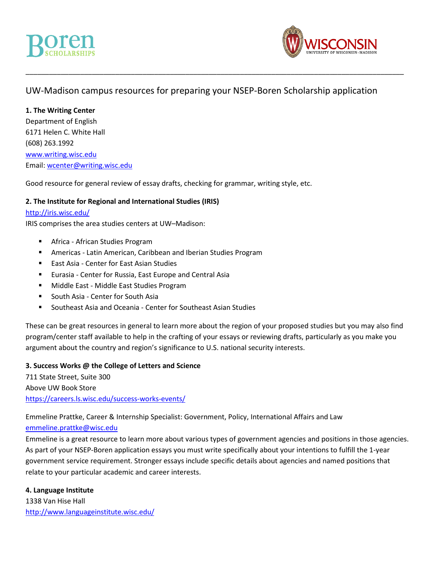

# UW-Madison campus resources for preparing your NSEP-Boren Scholarship application

\_\_\_\_\_\_\_\_\_\_\_\_\_\_\_\_\_\_\_\_\_\_\_\_\_\_\_\_\_\_\_\_\_\_\_\_\_\_\_\_\_\_\_\_\_\_\_\_\_\_\_\_\_\_\_\_\_\_\_\_\_\_\_\_\_\_\_\_\_\_\_\_\_\_\_\_\_\_\_\_\_\_\_\_\_\_\_\_\_\_\_\_\_\_\_\_\_

# **1. The Writing Center**

Department of English 6171 Helen C. White Hall (608) 263.1992 [www.writing.wisc.edu](http://www.writing.wisc.edu/) Email: [wcenter@writing.wisc.edu](mailto:wcenter@writing.wisc.edu)

Good resource for general review of essay drafts, checking for grammar, writing style, etc.

# **2. The Institute for Regional and International Studies (IRIS)**

## <http://iris.wisc.edu/>

IRIS comprises the area studies centers at UW–Madison:

- Africa African Studies Program
- Americas Latin American, Caribbean and Iberian Studies Program
- East Asia Center for East Asian Studies
- Eurasia Center for Russia, East Europe and Central Asia
- Middle East Middle East Studies Program
- South Asia Center for South Asia
- Southeast Asia and Oceania Center for Southeast Asian Studies

These can be great resources in general to learn more about the region of your proposed studies but you may also find program/center staff available to help in the crafting of your essays or reviewing drafts, particularly as you make you argument about the country and region's significance to U.S. national security interests.

## **3. Success Works @ the College of Letters and Science**

711 State Street, Suite 300 Above UW Book Store <https://careers.ls.wisc.edu/success-works-events/>

Emmeline Prattke, Career & Internship Specialist: Government, Policy, International Affairs and Law [emmeline.prattke@wisc.edu](mailto:emmeline.prattke@wisc.edu)

Emmeline is a great resource to learn more about various types of government agencies and positions in those agencies. As part of your NSEP-Boren application essays you must write specifically about your intentions to fulfill the 1-year government service requirement. Stronger essays include specific details about agencies and named positions that relate to your particular academic and career interests.

## **4. Language Institute**

1338 Van Hise Hall <http://www.languageinstitute.wisc.edu/>